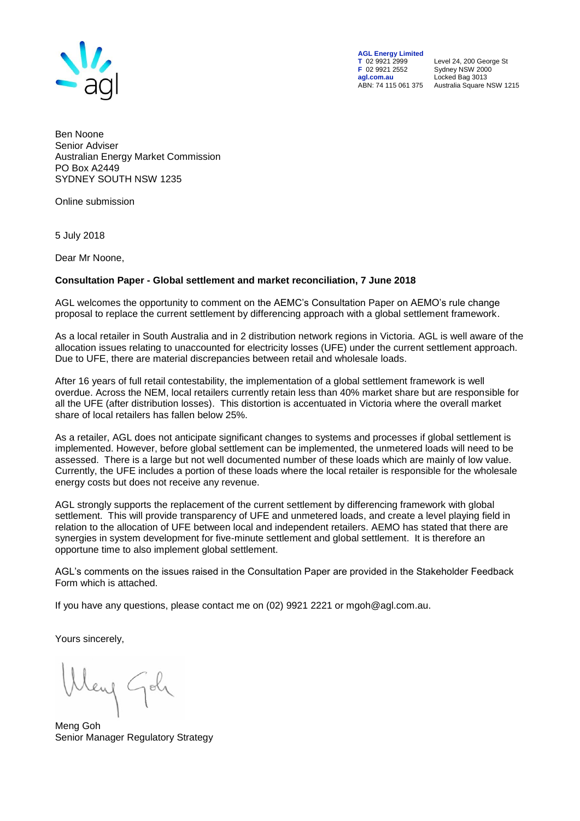

**AGL Energy Limited**<br> **T** 02 9921 2999<br> **F** 02 9921 2552 **F** 02 9921 2552 Sydney NSW 2000 **agl.com.au** Locked Bag 3013

**T** 02 9921 2999 Level 24, 200 George St ABN: 74 115 061 375 Australia Square NSW 1215

Ben Noone Senior Adviser Australian Energy Market Commission PO Box A2449 SYDNEY SOUTH NSW 1235

Online submission

5 July 2018

Dear Mr Noone,

## **Consultation Paper - Global settlement and market reconciliation, 7 June 2018**

AGL welcomes the opportunity to comment on the AEMC's Consultation Paper on AEMO's rule change proposal to replace the current settlement by differencing approach with a global settlement framework.

As a local retailer in South Australia and in 2 distribution network regions in Victoria. AGL is well aware of the allocation issues relating to unaccounted for electricity losses (UFE) under the current settlement approach. Due to UFE, there are material discrepancies between retail and wholesale loads.

After 16 years of full retail contestability, the implementation of a global settlement framework is well overdue. Across the NEM, local retailers currently retain less than 40% market share but are responsible for all the UFE (after distribution losses). This distortion is accentuated in Victoria where the overall market share of local retailers has fallen below 25%.

As a retailer, AGL does not anticipate significant changes to systems and processes if global settlement is implemented. However, before global settlement can be implemented, the unmetered loads will need to be assessed. There is a large but not well documented number of these loads which are mainly of low value. Currently, the UFE includes a portion of these loads where the local retailer is responsible for the wholesale energy costs but does not receive any revenue.

AGL strongly supports the replacement of the current settlement by differencing framework with global settlement. This will provide transparency of UFE and unmetered loads, and create a level playing field in relation to the allocation of UFE between local and independent retailers. AEMO has stated that there are synergies in system development for five-minute settlement and global settlement. It is therefore an opportune time to also implement global settlement.

AGL's comments on the issues raised in the Consultation Paper are provided in the Stakeholder Feedback Form which is attached.

If you have any questions, please contact me on (02) 9921 2221 or mgoh@agl.com.au.

Yours sincerely,

leng Goly

Meng Goh Senior Manager Regulatory Strategy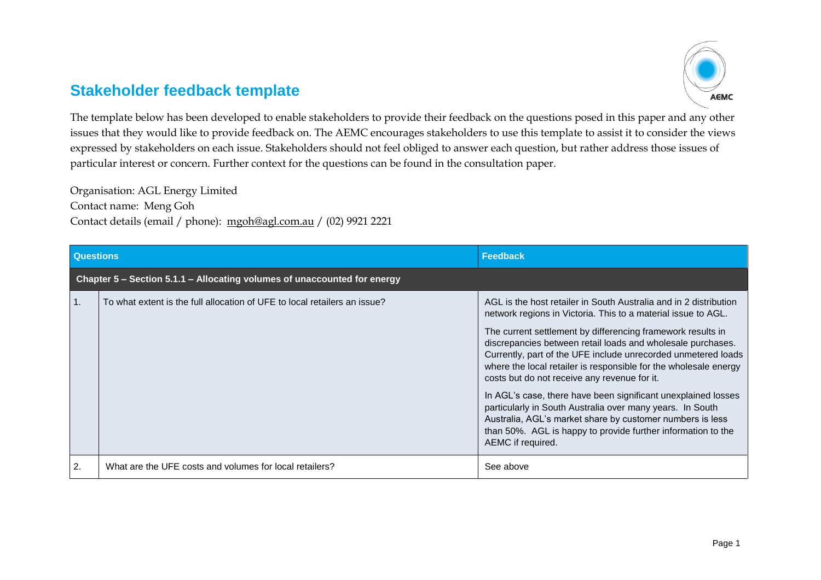## **Stakeholder feedback template**



The template below has been developed to enable stakeholders to provide their feedback on the questions posed in this paper and any other issues that they would like to provide feedback on. The AEMC encourages stakeholders to use this template to assist it to consider the views expressed by stakeholders on each issue. Stakeholders should not feel obliged to answer each question, but rather address those issues of particular interest or concern. Further context for the questions can be found in the consultation paper.

Organisation: AGL Energy Limited Contact name: Meng Goh Contact details (email / phone): [mgoh@agl.com.au](mailto:mgoh@agl.com.au) / (02) 9921 2221

| <b>Questions</b> |                                                                           | <b>Feedback</b>                                                                                                                                                                                                                                                                                                                                                                                                                                                                                                                                                                                                                                                                                                                       |  |
|------------------|---------------------------------------------------------------------------|---------------------------------------------------------------------------------------------------------------------------------------------------------------------------------------------------------------------------------------------------------------------------------------------------------------------------------------------------------------------------------------------------------------------------------------------------------------------------------------------------------------------------------------------------------------------------------------------------------------------------------------------------------------------------------------------------------------------------------------|--|
|                  | Chapter 5 - Section 5.1.1 - Allocating volumes of unaccounted for energy  |                                                                                                                                                                                                                                                                                                                                                                                                                                                                                                                                                                                                                                                                                                                                       |  |
| $\mathbf{1}$ .   | To what extent is the full allocation of UFE to local retailers an issue? | AGL is the host retailer in South Australia and in 2 distribution<br>network regions in Victoria. This to a material issue to AGL.<br>The current settlement by differencing framework results in<br>discrepancies between retail loads and wholesale purchases.<br>Currently, part of the UFE include unrecorded unmetered loads<br>where the local retailer is responsible for the wholesale energy<br>costs but do not receive any revenue for it.<br>In AGL's case, there have been significant unexplained losses<br>particularly in South Australia over many years. In South<br>Australia, AGL's market share by customer numbers is less<br>than 50%. AGL is happy to provide further information to the<br>AEMC if required. |  |
| 2.               | What are the UFE costs and volumes for local retailers?                   | See above                                                                                                                                                                                                                                                                                                                                                                                                                                                                                                                                                                                                                                                                                                                             |  |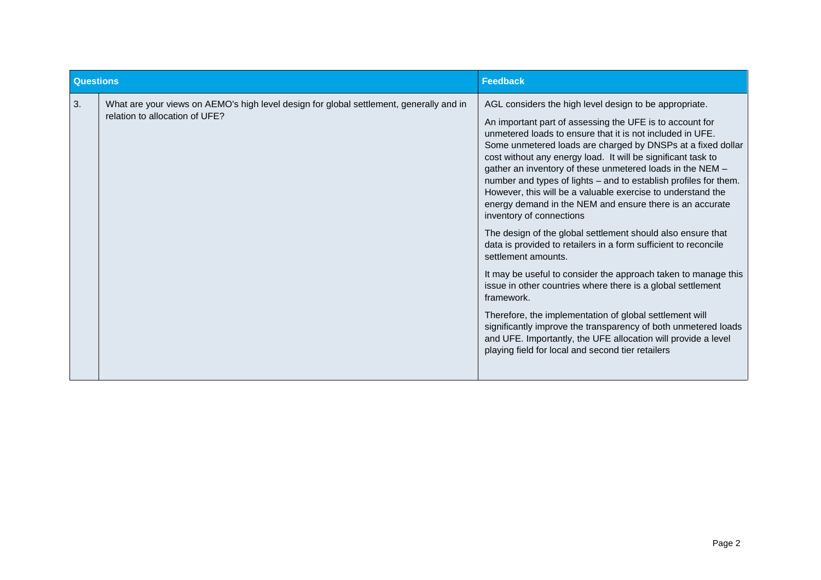| <b>Questions</b> |                                                                                                                           | <b>Feedback</b>                                                                                                                                                                                                                                                                                                                                                                                                                                                                                                                                                                                                                                                                                                                                                                                                                                                                                                                                                                                                                                                                                                                                                   |
|------------------|---------------------------------------------------------------------------------------------------------------------------|-------------------------------------------------------------------------------------------------------------------------------------------------------------------------------------------------------------------------------------------------------------------------------------------------------------------------------------------------------------------------------------------------------------------------------------------------------------------------------------------------------------------------------------------------------------------------------------------------------------------------------------------------------------------------------------------------------------------------------------------------------------------------------------------------------------------------------------------------------------------------------------------------------------------------------------------------------------------------------------------------------------------------------------------------------------------------------------------------------------------------------------------------------------------|
| 3.               | What are your views on AEMO's high level design for global settlement, generally and in<br>relation to allocation of UFE? | AGL considers the high level design to be appropriate.<br>An important part of assessing the UFE is to account for<br>unmetered loads to ensure that it is not included in UFE.<br>Some unmetered loads are charged by DNSPs at a fixed dollar<br>cost without any energy load. It will be significant task to<br>gather an inventory of these unmetered loads in the NEM -<br>number and types of lights - and to establish profiles for them.<br>However, this will be a valuable exercise to understand the<br>energy demand in the NEM and ensure there is an accurate<br>inventory of connections<br>The design of the global settlement should also ensure that<br>data is provided to retailers in a form sufficient to reconcile<br>settlement amounts.<br>It may be useful to consider the approach taken to manage this<br>issue in other countries where there is a global settlement<br>framework.<br>Therefore, the implementation of global settlement will<br>significantly improve the transparency of both unmetered loads<br>and UFE. Importantly, the UFE allocation will provide a level<br>playing field for local and second tier retailers |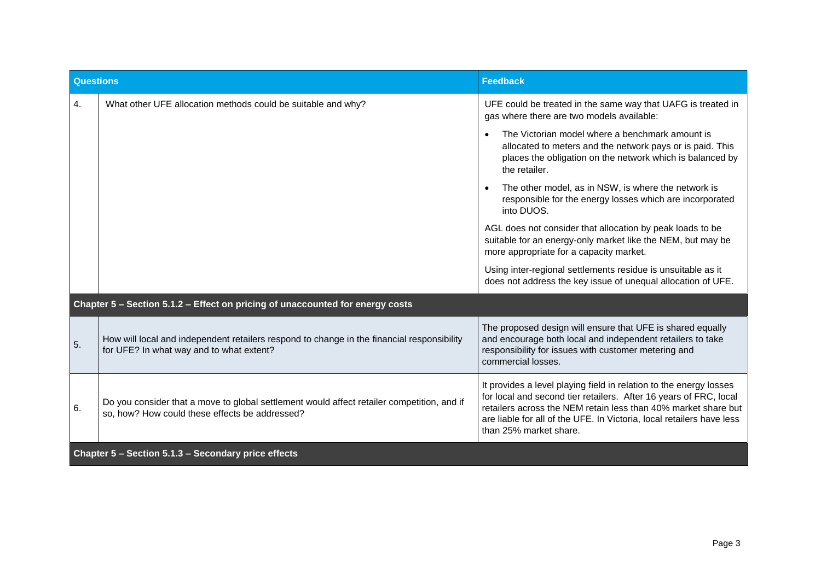| Questions                                           |                                                                                                                                              | <b>Feedback</b>                                                                                                                                                                                                                                                                                              |
|-----------------------------------------------------|----------------------------------------------------------------------------------------------------------------------------------------------|--------------------------------------------------------------------------------------------------------------------------------------------------------------------------------------------------------------------------------------------------------------------------------------------------------------|
| 4.                                                  | What other UFE allocation methods could be suitable and why?                                                                                 | UFE could be treated in the same way that UAFG is treated in<br>gas where there are two models available:                                                                                                                                                                                                    |
|                                                     |                                                                                                                                              | The Victorian model where a benchmark amount is<br>allocated to meters and the network pays or is paid. This<br>places the obligation on the network which is balanced by<br>the retailer.                                                                                                                   |
|                                                     |                                                                                                                                              | The other model, as in NSW, is where the network is<br>responsible for the energy losses which are incorporated<br>into DUOS.                                                                                                                                                                                |
|                                                     |                                                                                                                                              | AGL does not consider that allocation by peak loads to be<br>suitable for an energy-only market like the NEM, but may be<br>more appropriate for a capacity market.                                                                                                                                          |
|                                                     |                                                                                                                                              | Using inter-regional settlements residue is unsuitable as it<br>does not address the key issue of unequal allocation of UFE.                                                                                                                                                                                 |
|                                                     | Chapter 5 - Section 5.1.2 - Effect on pricing of unaccounted for energy costs                                                                |                                                                                                                                                                                                                                                                                                              |
| 5.                                                  | How will local and independent retailers respond to change in the financial responsibility<br>for UFE? In what way and to what extent?       | The proposed design will ensure that UFE is shared equally<br>and encourage both local and independent retailers to take<br>responsibility for issues with customer metering and<br>commercial losses.                                                                                                       |
| 6.                                                  | Do you consider that a move to global settlement would affect retailer competition, and if<br>so, how? How could these effects be addressed? | It provides a level playing field in relation to the energy losses<br>for local and second tier retailers. After 16 years of FRC, local<br>retailers across the NEM retain less than 40% market share but<br>are liable for all of the UFE. In Victoria, local retailers have less<br>than 25% market share. |
| Chapter 5 - Section 5.1.3 - Secondary price effects |                                                                                                                                              |                                                                                                                                                                                                                                                                                                              |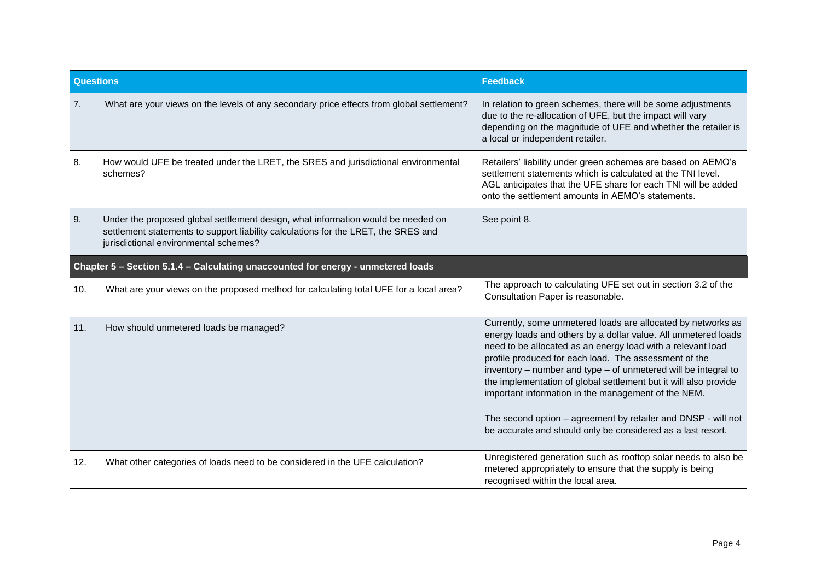| <b>Questions</b>                                                                 |                                                                                                                                                                                                                 | <b>Feedback</b>                                                                                                                                                                                                                                                                                                                                                                                                                                                                                                                                                                     |
|----------------------------------------------------------------------------------|-----------------------------------------------------------------------------------------------------------------------------------------------------------------------------------------------------------------|-------------------------------------------------------------------------------------------------------------------------------------------------------------------------------------------------------------------------------------------------------------------------------------------------------------------------------------------------------------------------------------------------------------------------------------------------------------------------------------------------------------------------------------------------------------------------------------|
| 7.                                                                               | What are your views on the levels of any secondary price effects from global settlement?                                                                                                                        | In relation to green schemes, there will be some adjustments<br>due to the re-allocation of UFE, but the impact will vary<br>depending on the magnitude of UFE and whether the retailer is<br>a local or independent retailer.                                                                                                                                                                                                                                                                                                                                                      |
| 8.                                                                               | How would UFE be treated under the LRET, the SRES and jurisdictional environmental<br>schemes?                                                                                                                  | Retailers' liability under green schemes are based on AEMO's<br>settlement statements which is calculated at the TNI level.<br>AGL anticipates that the UFE share for each TNI will be added<br>onto the settlement amounts in AEMO's statements.                                                                                                                                                                                                                                                                                                                                   |
| 9.                                                                               | Under the proposed global settlement design, what information would be needed on<br>settlement statements to support liability calculations for the LRET, the SRES and<br>jurisdictional environmental schemes? | See point 8.                                                                                                                                                                                                                                                                                                                                                                                                                                                                                                                                                                        |
| Chapter 5 - Section 5.1.4 - Calculating unaccounted for energy - unmetered loads |                                                                                                                                                                                                                 |                                                                                                                                                                                                                                                                                                                                                                                                                                                                                                                                                                                     |
| 10.                                                                              | What are your views on the proposed method for calculating total UFE for a local area?                                                                                                                          | The approach to calculating UFE set out in section 3.2 of the<br>Consultation Paper is reasonable.                                                                                                                                                                                                                                                                                                                                                                                                                                                                                  |
| 11.                                                                              | How should unmetered loads be managed?                                                                                                                                                                          | Currently, some unmetered loads are allocated by networks as<br>energy loads and others by a dollar value. All unmetered loads<br>need to be allocated as an energy load with a relevant load<br>profile produced for each load. The assessment of the<br>inventory – number and type – of unmetered will be integral to<br>the implementation of global settlement but it will also provide<br>important information in the management of the NEM.<br>The second option - agreement by retailer and DNSP - will not<br>be accurate and should only be considered as a last resort. |
| 12.                                                                              | What other categories of loads need to be considered in the UFE calculation?                                                                                                                                    | Unregistered generation such as rooftop solar needs to also be<br>metered appropriately to ensure that the supply is being<br>recognised within the local area.                                                                                                                                                                                                                                                                                                                                                                                                                     |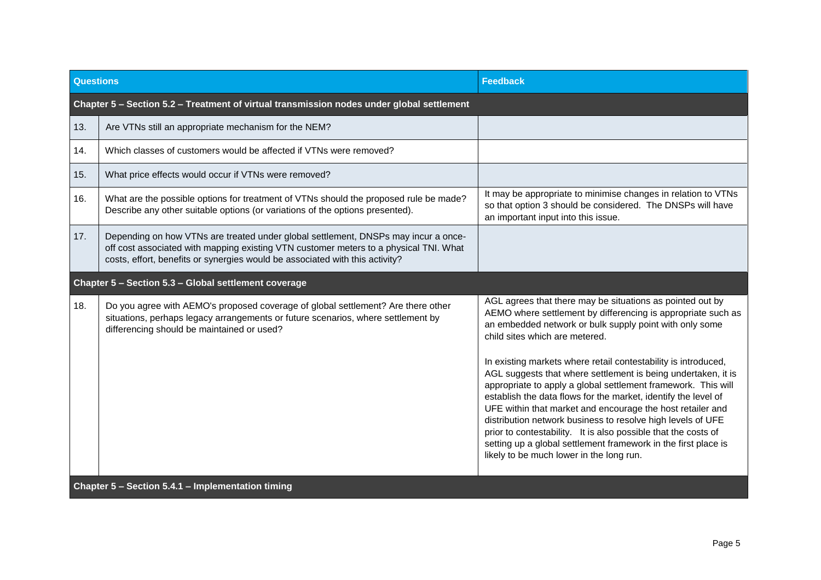| <b>Questions</b>                                     |                                                                                                                                                                                                                                                             | <b>Feedback</b>                                                                                                                                                                                                                                                                                                                                                                                                                                                                                                                                                                                                                                                                                                                                                                                           |  |
|------------------------------------------------------|-------------------------------------------------------------------------------------------------------------------------------------------------------------------------------------------------------------------------------------------------------------|-----------------------------------------------------------------------------------------------------------------------------------------------------------------------------------------------------------------------------------------------------------------------------------------------------------------------------------------------------------------------------------------------------------------------------------------------------------------------------------------------------------------------------------------------------------------------------------------------------------------------------------------------------------------------------------------------------------------------------------------------------------------------------------------------------------|--|
|                                                      | Chapter 5 - Section 5.2 - Treatment of virtual transmission nodes under global settlement                                                                                                                                                                   |                                                                                                                                                                                                                                                                                                                                                                                                                                                                                                                                                                                                                                                                                                                                                                                                           |  |
| 13.                                                  | Are VTNs still an appropriate mechanism for the NEM?                                                                                                                                                                                                        |                                                                                                                                                                                                                                                                                                                                                                                                                                                                                                                                                                                                                                                                                                                                                                                                           |  |
| 14.                                                  | Which classes of customers would be affected if VTNs were removed?                                                                                                                                                                                          |                                                                                                                                                                                                                                                                                                                                                                                                                                                                                                                                                                                                                                                                                                                                                                                                           |  |
| 15.                                                  | What price effects would occur if VTNs were removed?                                                                                                                                                                                                        |                                                                                                                                                                                                                                                                                                                                                                                                                                                                                                                                                                                                                                                                                                                                                                                                           |  |
| 16.                                                  | What are the possible options for treatment of VTNs should the proposed rule be made?<br>Describe any other suitable options (or variations of the options presented).                                                                                      | It may be appropriate to minimise changes in relation to VTNs<br>so that option 3 should be considered. The DNSPs will have<br>an important input into this issue.                                                                                                                                                                                                                                                                                                                                                                                                                                                                                                                                                                                                                                        |  |
| 17.                                                  | Depending on how VTNs are treated under global settlement, DNSPs may incur a once-<br>off cost associated with mapping existing VTN customer meters to a physical TNI. What<br>costs, effort, benefits or synergies would be associated with this activity? |                                                                                                                                                                                                                                                                                                                                                                                                                                                                                                                                                                                                                                                                                                                                                                                                           |  |
| Chapter 5 - Section 5.3 - Global settlement coverage |                                                                                                                                                                                                                                                             |                                                                                                                                                                                                                                                                                                                                                                                                                                                                                                                                                                                                                                                                                                                                                                                                           |  |
| 18.                                                  | Do you agree with AEMO's proposed coverage of global settlement? Are there other<br>situations, perhaps legacy arrangements or future scenarios, where settlement by<br>differencing should be maintained or used?                                          | AGL agrees that there may be situations as pointed out by<br>AEMO where settlement by differencing is appropriate such as<br>an embedded network or bulk supply point with only some<br>child sites which are metered.<br>In existing markets where retail contestability is introduced,<br>AGL suggests that where settlement is being undertaken, it is<br>appropriate to apply a global settlement framework. This will<br>establish the data flows for the market, identify the level of<br>UFE within that market and encourage the host retailer and<br>distribution network business to resolve high levels of UFE<br>prior to contestability. It is also possible that the costs of<br>setting up a global settlement framework in the first place is<br>likely to be much lower in the long run. |  |
| Chapter 5 - Section 5.4.1 - Implementation timing    |                                                                                                                                                                                                                                                             |                                                                                                                                                                                                                                                                                                                                                                                                                                                                                                                                                                                                                                                                                                                                                                                                           |  |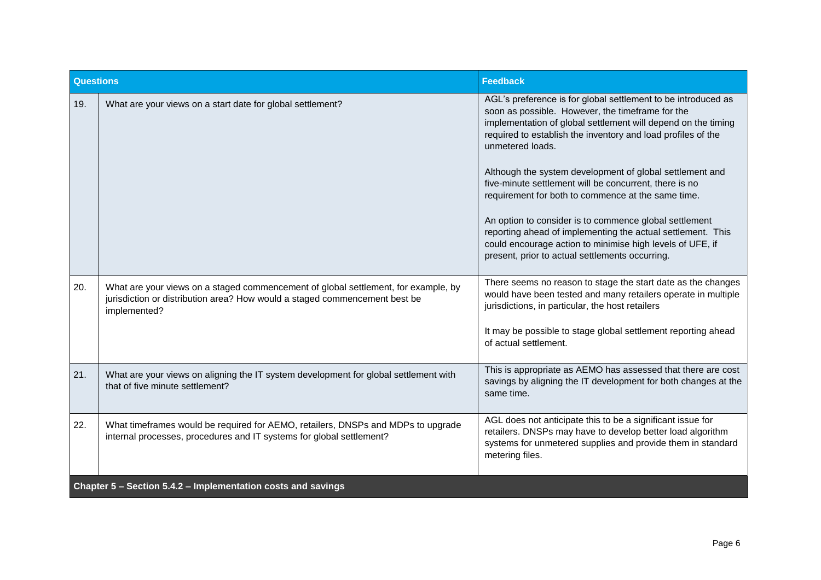| Questions                                                    |                                                                                                                                                                                  | <b>Feedback</b>                                                                                                                                                                                                                                                                                                                                                                                                                                                                                                                                                                                                                                                                             |
|--------------------------------------------------------------|----------------------------------------------------------------------------------------------------------------------------------------------------------------------------------|---------------------------------------------------------------------------------------------------------------------------------------------------------------------------------------------------------------------------------------------------------------------------------------------------------------------------------------------------------------------------------------------------------------------------------------------------------------------------------------------------------------------------------------------------------------------------------------------------------------------------------------------------------------------------------------------|
| 19.                                                          | What are your views on a start date for global settlement?                                                                                                                       | AGL's preference is for global settlement to be introduced as<br>soon as possible. However, the timeframe for the<br>implementation of global settlement will depend on the timing<br>required to establish the inventory and load profiles of the<br>unmetered loads.<br>Although the system development of global settlement and<br>five-minute settlement will be concurrent, there is no<br>requirement for both to commence at the same time.<br>An option to consider is to commence global settlement<br>reporting ahead of implementing the actual settlement. This<br>could encourage action to minimise high levels of UFE, if<br>present, prior to actual settlements occurring. |
| 20.                                                          | What are your views on a staged commencement of global settlement, for example, by<br>jurisdiction or distribution area? How would a staged commencement best be<br>implemented? | There seems no reason to stage the start date as the changes<br>would have been tested and many retailers operate in multiple<br>jurisdictions, in particular, the host retailers<br>It may be possible to stage global settlement reporting ahead<br>of actual settlement.                                                                                                                                                                                                                                                                                                                                                                                                                 |
| 21.                                                          | What are your views on aligning the IT system development for global settlement with<br>that of five minute settlement?                                                          | This is appropriate as AEMO has assessed that there are cost<br>savings by aligning the IT development for both changes at the<br>same time.                                                                                                                                                                                                                                                                                                                                                                                                                                                                                                                                                |
| 22.                                                          | What timeframes would be required for AEMO, retailers, DNSPs and MDPs to upgrade<br>internal processes, procedures and IT systems for global settlement?                         | AGL does not anticipate this to be a significant issue for<br>retailers. DNSPs may have to develop better load algorithm<br>systems for unmetered supplies and provide them in standard<br>metering files.                                                                                                                                                                                                                                                                                                                                                                                                                                                                                  |
| Chapter 5 - Section 5.4.2 - Implementation costs and savings |                                                                                                                                                                                  |                                                                                                                                                                                                                                                                                                                                                                                                                                                                                                                                                                                                                                                                                             |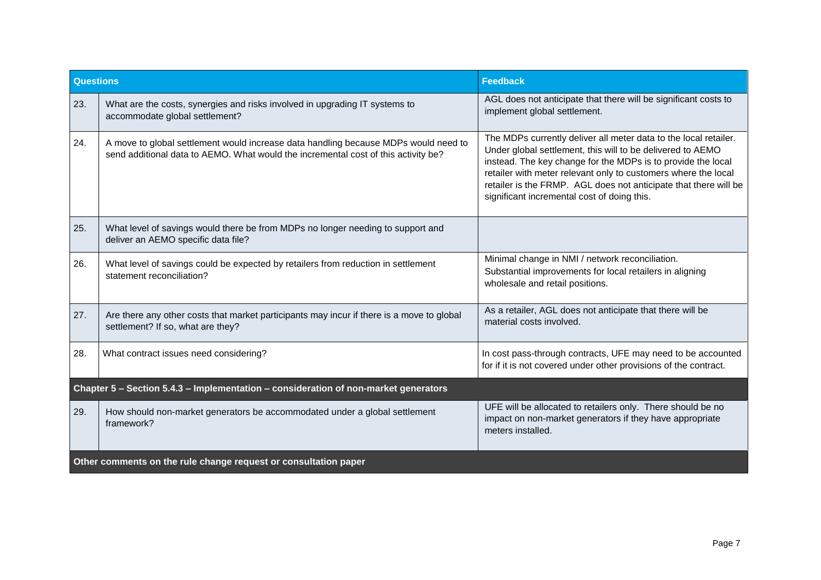| <b>Questions</b>                                                                    |                                                                                                                                                                           | <b>Feedback</b>                                                                                                                                                                                                                                                                                                                                                                     |
|-------------------------------------------------------------------------------------|---------------------------------------------------------------------------------------------------------------------------------------------------------------------------|-------------------------------------------------------------------------------------------------------------------------------------------------------------------------------------------------------------------------------------------------------------------------------------------------------------------------------------------------------------------------------------|
| 23.                                                                                 | What are the costs, synergies and risks involved in upgrading IT systems to<br>accommodate global settlement?                                                             | AGL does not anticipate that there will be significant costs to<br>implement global settlement.                                                                                                                                                                                                                                                                                     |
| 24.                                                                                 | A move to global settlement would increase data handling because MDPs would need to<br>send additional data to AEMO. What would the incremental cost of this activity be? | The MDPs currently deliver all meter data to the local retailer.<br>Under global settlement, this will to be delivered to AEMO<br>instead. The key change for the MDPs is to provide the local<br>retailer with meter relevant only to customers where the local<br>retailer is the FRMP. AGL does not anticipate that there will be<br>significant incremental cost of doing this. |
| 25.                                                                                 | What level of savings would there be from MDPs no longer needing to support and<br>deliver an AEMO specific data file?                                                    |                                                                                                                                                                                                                                                                                                                                                                                     |
| 26.                                                                                 | What level of savings could be expected by retailers from reduction in settlement<br>statement reconciliation?                                                            | Minimal change in NMI / network reconciliation.<br>Substantial improvements for local retailers in aligning<br>wholesale and retail positions.                                                                                                                                                                                                                                      |
| 27.                                                                                 | Are there any other costs that market participants may incur if there is a move to global<br>settlement? If so, what are they?                                            | As a retailer, AGL does not anticipate that there will be<br>material costs involved.                                                                                                                                                                                                                                                                                               |
| 28.                                                                                 | What contract issues need considering?                                                                                                                                    | In cost pass-through contracts, UFE may need to be accounted<br>for if it is not covered under other provisions of the contract.                                                                                                                                                                                                                                                    |
| Chapter 5 - Section 5.4.3 - Implementation - consideration of non-market generators |                                                                                                                                                                           |                                                                                                                                                                                                                                                                                                                                                                                     |
| 29.                                                                                 | How should non-market generators be accommodated under a global settlement<br>framework?                                                                                  | UFE will be allocated to retailers only. There should be no<br>impact on non-market generators if they have appropriate<br>meters installed.                                                                                                                                                                                                                                        |
| Other comments on the rule change request or consultation paper                     |                                                                                                                                                                           |                                                                                                                                                                                                                                                                                                                                                                                     |